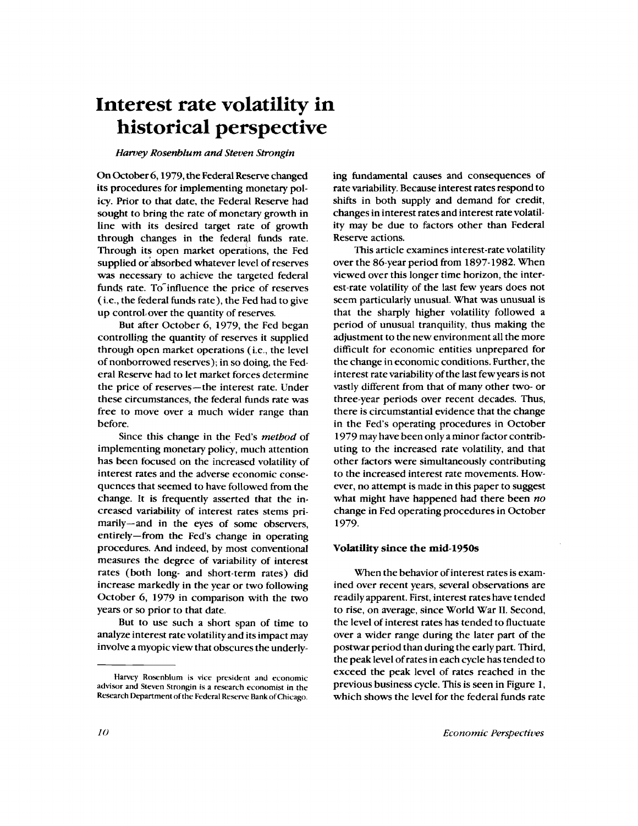# **Interest rate volatility in historical perspective**

#### *Harvey Rosenblum and Steven Strongin*

On October 6, 1979, the Federal Reserve changed its procedures for implementing monetary policy. Prior to that date, the Federal Reserve had sought to bring the rate of monetary growth in line with its desired target rate of growth through changes in the federal funds rate. Through its open market operations, the Fed supplied or absorbed whatever level of reserves was necessary to achieve the targeted federal funds rate. To influence the price of reserves ( i.e., the federal funds rate), the Fed had to give up control, over the quantity of reserves.

But after October 6, 1979, the Fed began controlling the quantity of reserves it supplied through open market operations ( i.e., the level of nonborrowed reserves); in so doing, the Federal Reserve had to let market forces determine the price of reserves—the interest rate. Under these circumstances, the federal funds rate was free to move over a much wider range than before.

Since this change in the Fed's *method* of implementing monetary policy, much attention has been focused on the increased volatility of interest rates and the adverse economic consequences that seemed to have followed from the change. It is frequently asserted that the increased variability of interest rates stems primarily—and in the eyes of some observers, entirely—from the Fed's change in operating procedures. And indeed, by most conventional measures the degree of variability of interest rates (both long- and short-term rates) did increase markedly in the year or two following October 6, 1979 in comparison with the two years or so prior to that date.

But to use such a short span of time to analyze interest rate volatility and its impact may involve a myopic view that obscures the underlying fundamental causes and consequences of rate variability. Because interest rates respond to shifts in both supply and demand for credit, changes in interest rates and interest rate volatility may be due to factors other than Federal Reserve actions.

This article examines interest-rate volatility over the 86-year period from 1897-1982. When viewed over this longer time horizon, the interest-rate volatility of the last few years does not seem particularly unusual. What was unusual is that the sharply higher volatility followed a period of unusual tranquility, thus making the adjustment to the new environment all the more difficult for economic entities unprepared for the change in economic conditions. Further, the interest rate variability of the last few years is not vastly different from that of many other two- or three-year periods over recent decades. Thus, there is circumstantial evidence that the change in the Fed's operating procedures in October 1979 may have been only a minor factor contributing to the increased rate volatility, and that other factors were simultaneously contributing to the increased interest rate movements. However, no attempt is made in this paper to suggest what might have happened had there been *no* change in Fed operating procedures in October 1979.

## **Volatility since the mid-1950s**

When the behavior of interest rates is examined over recent years, several observations are readily apparent. First, interest rates have tended to rise, on average, since World War II. Second, the level of interest rates has tended to fluctuate over a wider range during the later part of the postwar period than during the early part. Third, the peak level of rates in each cycle has tended to exceed the peak level of rates reached in the previous business cycle. This is seen in Figure 1, which shows the level for the federal funds rate

Harvey Rosenblum is vice president and economic advisor and Steven Strongin is a research economist in the Research Department of the Federal Reserve Bank of Chicago.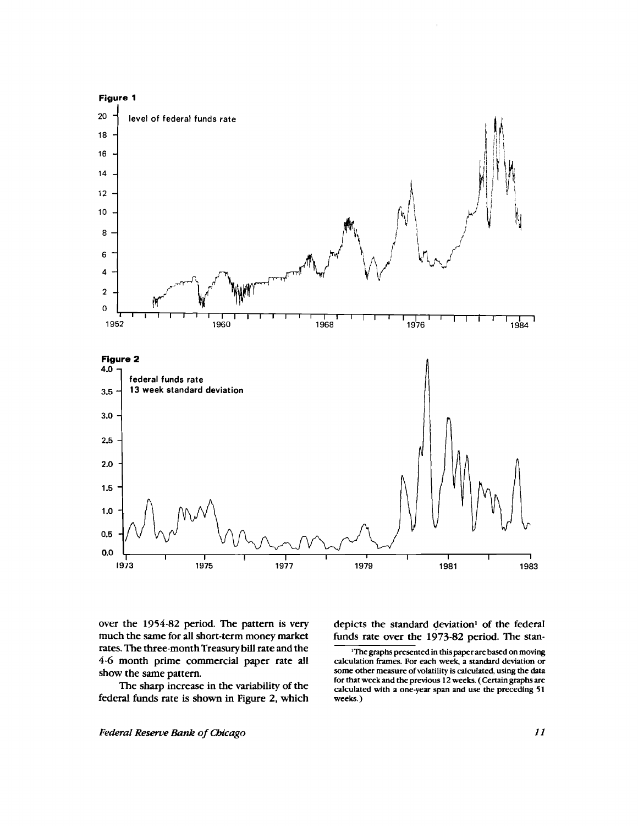

over the 1954-82 period. The pattern is very much the same for all short-term money market rates. The three-month Treasury bill rate and the 4-6 month prime commercial paper rate all show the same pattern.

The sharp increase in the variability of the federal funds rate is shown in Figure 2, which depicts the standard deviation' of the federal funds rate over the 1973-82 period. The stan-

<sup>&#</sup>x27;The graphs presented in this paper are based on moving calculation frames. For each week, a standard deviation or some other measure of volatility is calculated, using the data for that week and the previous 12 weeks. ( Certain graphs are calculated with a one-year span and use the preceding 51 weeks. )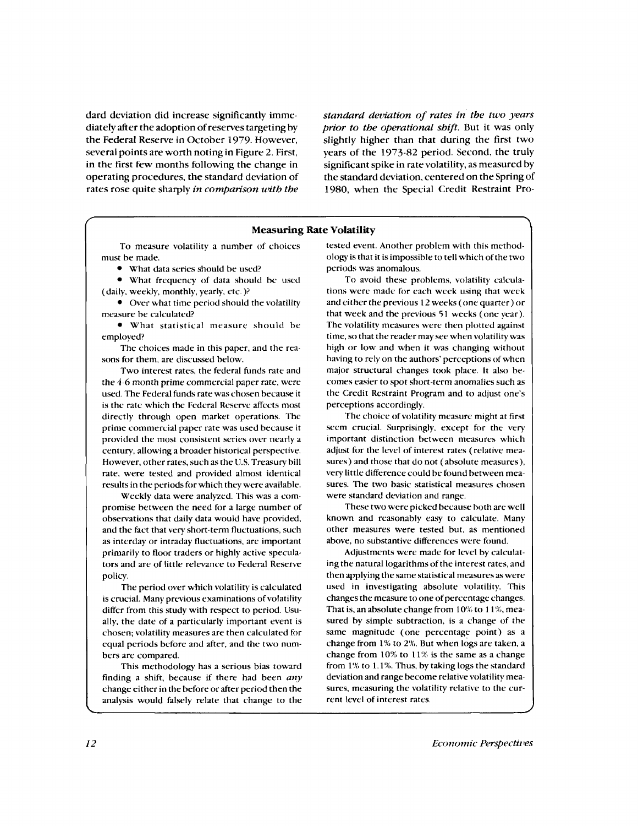dard deviation did increase significantly immediately after the adoption of reserves targeting by the Federal Reserve in October 1979. However, several points are worth noting in Figure 2. First, in the first few months following the change in operating procedures, the standard deviation of rates rose quite sharply *in comparison with the*

*standard deviation of rates in the two years prior to the operational shift.* But it was only slightly higher than that during the first two years of the 1973-82 period. Second, the truly significant spike in rate volatility, as measured by the standard deviation, centered on the Spring of 1980, when the Special Credit Restraint Pro-

#### **Measuring Rate Volatility**

To measure volatility a number of choices must he made.

• What data series should be used?

• What frequency of data should he used (daily, weekly, monthly, yearly, etc. )?

• Over what time period should the volatility measure be calculated?

• What statistical measure should be employed?

The choices made in this paper, and the reasons for them, are discussed below.

Two interest rates, the federal funds rate and the 4-6 month prime commercial paper rate, were used. The Federal funds rate was chosen because it is the rate which the Federal Reserve affects most directly through open market operations. The prime commercial paper rate was used because it provided the most consistent series over nearly a century, allowing a broader historical perspective. However, other rates, such as the U.S. Treasury bill rate, were tested and provided almost identical results in the periods for which they were available.

Weekly data were analyzed. This was a compromise between the need for a large number of observations that daily data would have provided, and the fact that very short-term fluctuations, such as interday or intraday fluctuations, are important primarily to floor traders or highly active speculators and are of little relevance to Federal Reserve policy.

The period over which volatility is calculated is crucial. Many previous examinations of volatility differ from this study with respect to period. Usually, the date of a particularly important event is chosen; volatility measures are then calculated for equal periods before and after, and the two numbers are compared.

This methodology has a serious bias toward finding a shift, because if there had been *any* change either in the before or after period then the analysis would falsely relate that change to the

tested event. Another problem with this methodology is that it is impossible to tell which of the two periods was anomalous.

To avoid these problems, volatility calculations were made for each week using that week and either the previous 12 weeks ( one quarter) or that week and the previous 51 weeks ( one year). The volatility measures were then plotted against time, so that the reader may see when volatility was high or low and when it was changing without having to rely on the authors' perceptions of when major structural changes took place. It also becomes easier to spot short-term anomalies such as the Credit Restraint Program and to adjust one's perceptions accordingly.

The choice of volatility measure might at first seem crucial. Surprisingly, except for the very important distinction between measures which adjust for the level of interest rates ( relative measures) and those that do not ( absolute measures), very little difference could be found between measures. The two basic statistical measures chosen were standard deviation and range.

These two were picked because both are well known and reasonably easy to calculate. Many other measures were tested but, as mentioned above, no substantive differences were found.

Adjustments were made for level by calculating the natural logarithms of the interest rates, and then applying the same statistical measures as were used in investigating absolute volatility. This changes the measure to one of percentage changes. That is, an absolute change from 10% to 11%, measured by simple subtraction, is a change of the same magnitude ( one percentage point) as a change from 1% to 2%. But when logs are taken, a change from 10% to 11% is the same as a change from 1% to 1.1%. Thus, by taking logs the standard deviation and range become relative volatility measures, measuring the volatility relative to the current level of interest rates.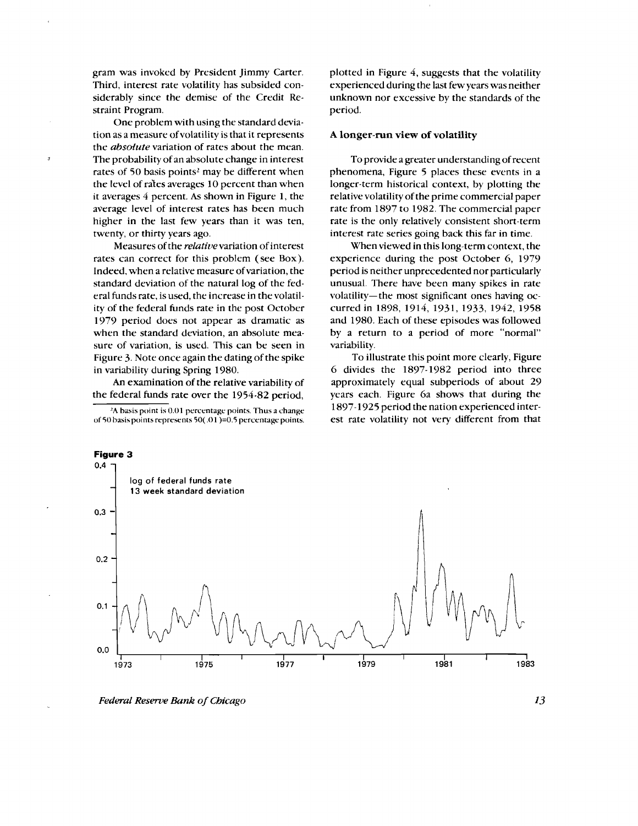gram was invoked by President Jimmy Carter. Third, interest rate volatility has subsided considerably since the demise of the Credit Restraint Program.

One problem with using the standard deviation as a measure of volatility is that it represents the *absolute* variation of rates about the mean. The probability of an absolute change in interest rates of 50 basis points<sup>2</sup> may be different when the level of rates averages 10 percent than when it averages 4 percent. As shown in Figure 1, the average level of interest rates has been much higher in the last few years than it was ten, twenty, or thirty years ago.

Measures of the *relative* variation of interest rates can correct for this problem ( see Box). Indeed, when a relative measure of variation, the standard deviation of the natural log of the federal funds rate, is used, the increase in the volatility of the federal funds rate in the post October 1979 period does not appear as dramatic as when the standard deviation, an absolute measure of variation, is used. This can be seen in Figure 3. Note once again the dating of the spike in variability during Spring 1980.

An examination of the relative variability of the federal funds rate over the 1954-82 period,

 $2A$  basis point is 0.01 percentage points. Thus a change of 50 basis points represents 50( $.01$ )=0.5 percentage points.

plotted in Figure 4, suggests that the volatility experienced during the last few years was neither unknown nor excessive by the standards of the period.

#### **A longer-run view of volatility**

To provide a greater understanding of recent phenomena, Figure 5 places these events in a longer-term historical context, by plotting the relative volatility of the prime commercial paper rate from 1897 to 1982. The commercial paper rate is the only relatively consistent short-term interest rate series going back this far in time.

When viewed in this long-term context, the experience during the post October 6, 1979 period is neither unprecedented nor particularly unusual. There have been many spikes in rate volatility—the most significant ones having occurred in 1898, 1914, 1931, 1933, 1942, 1958 and 1980. Each of these episodes was followed by a return to a period of more "normal" variability.

To illustrate this point more clearly, Figure 6 divides the 1897-1982 period into three approximately equal subperiods of about 29 years each. Figure 6a shows that during the 1897-1925 period the nation experienced interest rate volatility not very different from that



*Federal Reserve Bank of Chicago 13*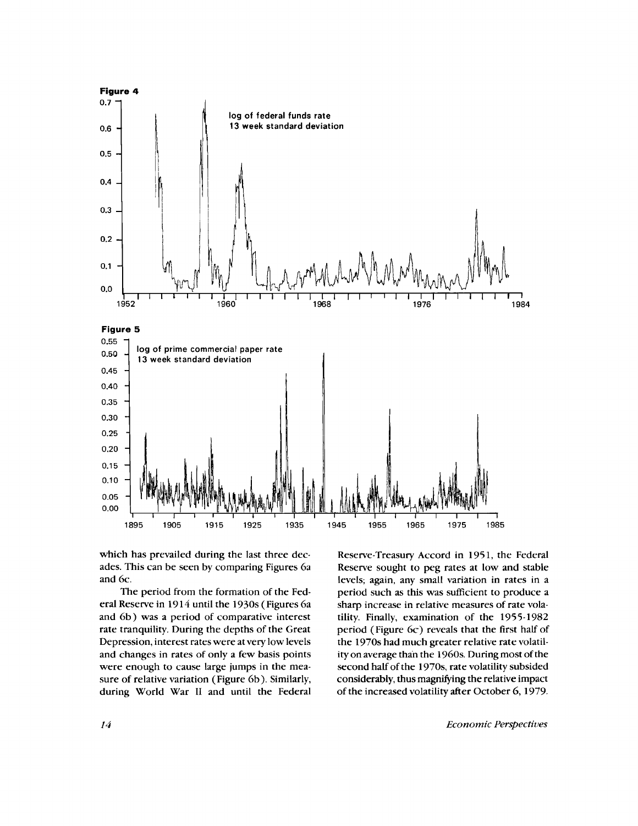

which has prevailed during the last three decades. This can be seen by comparing Figures 6a and 6c.

The period from the formation of the Federal Reserve in 1914 until the 1930s (Figures 6a and 6b) was a period of comparative interest rate tranquility. During the depths of the Great Depression, interest rates were at very low levels and changes in rates of only a few basis points were enough to cause large jumps in the measure of relative variation (Figure 6b). Similarly, during World War II and until the Federal

Reserve-Treasury Accord in 1951, the Federal Reserve sought to peg rates at low and stable levels; again, any small variation in rates in a period such as this was sufficient to produce a sharp increase in relative measures of rate volatility. Finally, examination of the 1955-1982 period ( Figure 6c) reveals that the first half of the 1970s had much greater relative rate volatility on average than the 1960s. During most of the second half of the 1970s, rate volatility subsided considerably, thus magnifying the relative impact of the increased volatility after October 6, 1979.

*14 Economic Perspectives*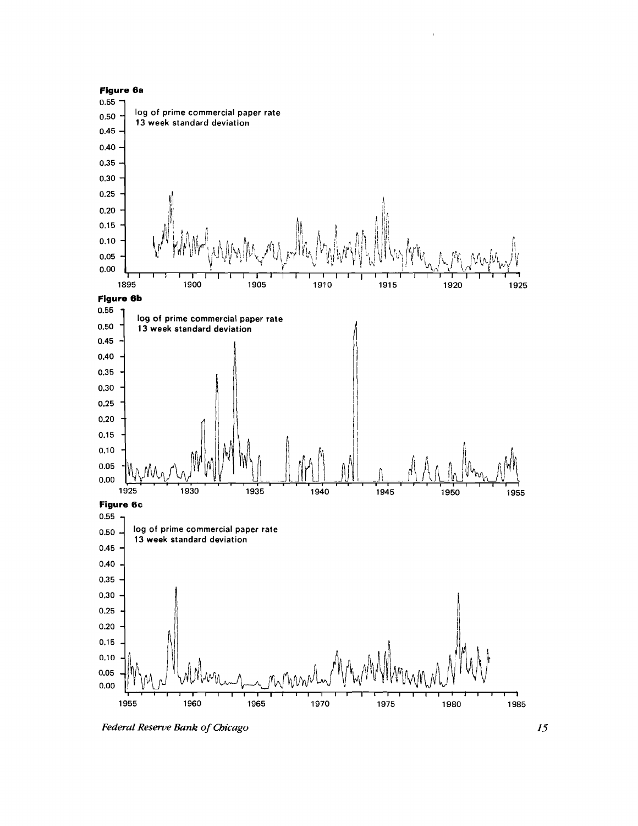

 $\bar{1}$ 

*Federal Reserve Bank of Chicago 15*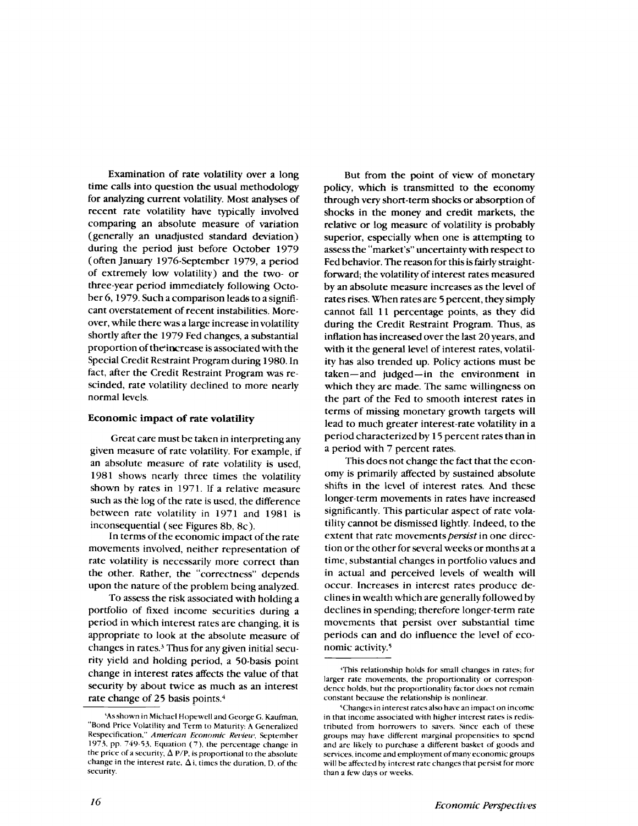Examination of rate volatility over a long time calls into question the usual methodology for analyzing current volatility. Most analyses of recent rate volatility have typically involved comparing an absolute measure of variation (generally an unadjusted standard deviation) during the period just before October 1979 ( often January 1976-September 1979, a period of extremely low volatility) and the two- or three-year period immediately following October 6, 1979. Such a comparison leads to a significant overstatement of recent instabilities. Moreover, while there was a large increase in volatility shortly after the 1979 Fed changes, a substantial proportion of theincrease is associated with the Special Credit Restraint Program during 1980. In fact, after the Credit Restraint Program was rescinded, rate volatility declined to more nearly normal levels.

#### **Economic impact of rate volatility**

Great care must be taken in interpreting any given measure of rate volatility. For example, if an absolute measure of rate volatility is used, 1981 shows nearly three times the volatility shown by rates in 1971. If a relative measure such as the log of the rate is used, the difference between rate volatility in 1971 and 1981 is inconsequential ( see Figures 8b, 8c).

In terms of the economic impact of the rate movements involved, neither representation of rate volatility is necessarily more correct than the other. Rather, the "correctness" depends upon the nature of the problem being analyzed.

To assess the risk associated with holding a portfolio of fixed income securities during a period in which interest rates are changing, it is appropriate to look at the absolute measure of changes in rates.<sup>3</sup> Thus for any given initial security yield and holding period, a 50-basis point change in interest rates affects the value of that security by about twice as much as an interest rate change of 25 basis points. <sup>4</sup>

But from the point of view of monetary policy, which is transmitted to the economy through very short-term shocks or absorption of shocks in the money and credit markets, the relative or log measure of volatility is probably superior, especially when one is attempting to assess the "market's" uncertainty with respect to Fed behavior. The reason for this is fairly straightforward; the volatility of interest rates measured by an absolute measure increases as the level of rates rises. When rates are 5 percent, they simply cannot fall 11 percentage points, as they did during the Credit Restraint Program. Thus, as inflation has increased over the last 20 years, and with it the general level of interest rates, volatility has also trended up. Policy actions must be taken—and judged—in the environment in which they are made. The same willingness on the part of the Fed to smooth interest rates in terms of missing monetary growth targets will lead to much greater interest-rate volatility in a period characterized by 15 percent rates than in a period with 7 percent rates.

This does not change the fact that the economy is primarily affected by sustained absolute shifts in the level of interest rates. And these longer-term movements in rates have increased significantly. This particular aspect of rate volatility cannot be dismissed lightly. Indeed, to the extent that rate movements persist in one direction or the other for several weeks or months at a time, substantial changes in portfolio values and in actual and perceived levels of wealth will occur. Increases in interest rates produce declines in wealth which are generally followed by declines in spending; therefore longer-term rate movements that persist over substantial time periods can and do influence the level of economic activity. <sup>5</sup>

As shown in Michael Hopewell and George G. Kaufman, "Bond Price Volatility and Term to Maturity: A Generalized Respecification," *American Economic Review,* September 1973, pp. 749-53, Equation ( 7), the percentage change in the price of a security,  $\Delta P/P$ , is proportional to the absolute change in the interest rate,  $\Delta$  i, times the duration, D, of the security.

This relationship holds for small changes in rates; for larger rate movements, the proportionality or correspondence holds, but the proportionality factor does not remain constant because the relationship is nonlinear.

<sup>&#</sup>x27;Changes in interest rates also have an impact on income in that income associated with higher interest rates is redistributed from borrowers to savers. Since each of these groups may have different marginal propensities to spend and are likely to purchase a different basket of goods and services, income and employment of many economic groups will he affected by interest rate changes that persist for more than a few days or weeks.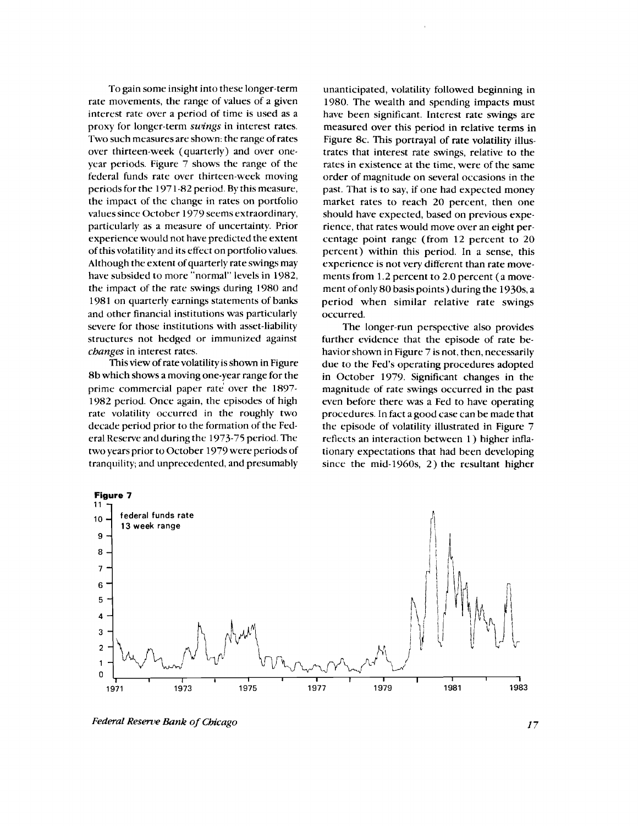To gain some insight into these longer-term rate movements, the range of values of a given interest rate over a period of time is used as a proxy for longer-term *swings* in interest rates. Two such measures are shown: the range of rates over thirteen-week (quarterly) and over oneyear periods. Figure 7 shows the range of the federal funds rate over thirteen-week moving periods for the 1971-82 period. By this measure, the impact of the change in rates on portfolio values since October 1979 seems extraordinary, particularly as a measure of uncertainty. Prior experience would not have predicted the extent of this volatility and its effect on portfolio values. Although the extent of quarterly rate swings may have subsided to more "normal" levels in 1982, the impact of the rate swings during 1980 and 1981 on quarterly earnings statements of banks and other financial institutions was particularly severe for those institutions with asset-liability structures not hedged or immunized against *changes* in interest rates.

This view of rate volatility is shown in Figure 8b which shows a moving one-year range for the prime commercial paper rate over the 1897- 1982 period. Once again, the episodes of high rate volatility occurred in the roughly two decade period prior to the formation of the Federal Reserve and during the 1973-75 period. The two years prior to October 1979 were periods of tranquility; and unprecedented, and presumably

unanticipated, volatility followed beginning in 1980. The wealth and spending impacts must have been significant. Interest rate swings are measured over this period in relative terms in Figure 8c. This portrayal of rate volatility illustrates that interest rate swings, relative to the rates in existence at the time, were of the same order of magnitude on several occasions in the past. That is to say, if one had expected money market rates to reach 20 percent, then one should have expected, based on previous experience, that rates would move over an eight percentage point range (from 12 percent to 20 percent) within this period. In a sense, this experience is not very different than rate movements from 1.2 percent to 2.0 percent (a movement of only 80 basis points) during the 1930s, a period when similar relative rate swings occurred.

The longer-run perspective also provides further evidence that the episode of rate behavior shown in Figure 7 is not, then, necessarily due to the Fed's operating procedures adopted in October 1979. Significant changes in the magnitude of rate swings occurred in the past even before there was a Fed to have operating procedures. In fact a good case can be made that the episode of volatility illustrated in Figure 7 reflects an interaction between 1) higher inflationary expectations that had been developing since the mid-1960s, 2) the resultant higher



*Federal Reserve Bank of Chicago*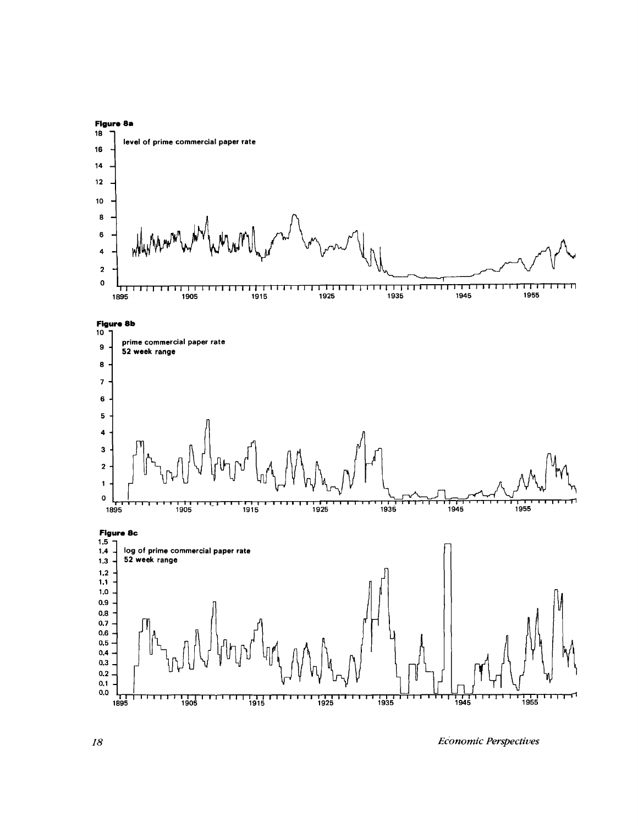

*18 EcOnomic Perspectives*

٣Ī

<del>רדודו וידודול לידודו ללדוודו וידודו וידודו וידודו ו</del><br>1955 1945 1945 1935 1945<br><sup>1945</sup> 1945

 $0.1$  ${\bf 0.0}$ 

**1895 190**

1111<br>1905